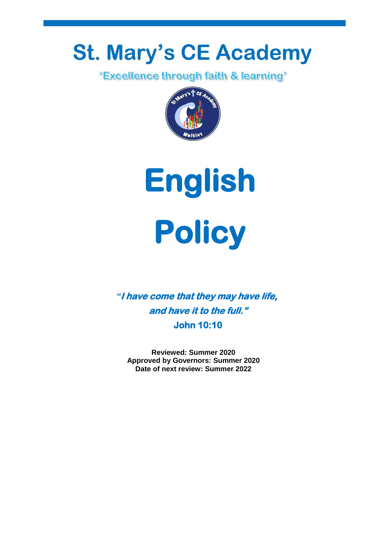# **St. Mary's CE Academy**<br>Excellence through faith & learning'





*"***I have come that they may have life, and have it to the full." John 10:10** 

**Reviewed: Summer 2020 Approved by Governors: Summer 2020 Date of next review: Summer 2022**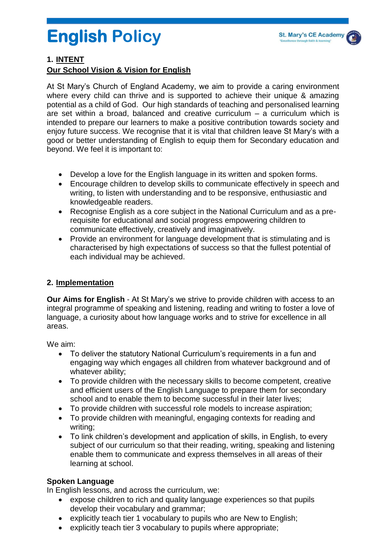# **English Policy**

#### **1. INTENT**

#### **Our School Vision & Vision for English**

At St Mary's Church of England Academy, we aim to provide a caring environment where every child can thrive and is supported to achieve their unique & amazing potential as a child of God. Our high standards of teaching and personalised learning are set within a broad, balanced and creative curriculum – a curriculum which is intended to prepare our learners to make a positive contribution towards society and enjoy future success. We recognise that it is vital that children leave St Mary's with a good or better understanding of English to equip them for Secondary education and beyond. We feel it is important to:

- Develop a love for the English language in its written and spoken forms.
- Encourage children to develop skills to communicate effectively in speech and writing, to listen with understanding and to be responsive, enthusiastic and knowledgeable readers.
- Recognise English as a core subject in the National Curriculum and as a prerequisite for educational and social progress empowering children to communicate effectively, creatively and imaginatively.
- Provide an environment for language development that is stimulating and is characterised by high expectations of success so that the fullest potential of each individual may be achieved.

#### **2. Implementation**

**Our Aims for English** - At St Mary's we strive to provide children with access to an integral programme of speaking and listening, reading and writing to foster a love of language, a curiosity about how language works and to strive for excellence in all areas.

We aim:

- To deliver the statutory National Curriculum's requirements in a fun and engaging way which engages all children from whatever background and of whatever ability:
- To provide children with the necessary skills to become competent, creative and efficient users of the English Language to prepare them for secondary school and to enable them to become successful in their later lives;
- To provide children with successful role models to increase aspiration;
- To provide children with meaningful, engaging contexts for reading and writing;
- To link children's development and application of skills, in English, to every subject of our curriculum so that their reading, writing, speaking and listening enable them to communicate and express themselves in all areas of their learning at school.

#### **Spoken Language**

In English lessons, and across the curriculum, we:

- expose children to rich and quality language experiences so that pupils develop their vocabulary and grammar;
- explicitly teach tier 1 vocabulary to pupils who are New to English;
- explicitly teach tier 3 vocabulary to pupils where appropriate;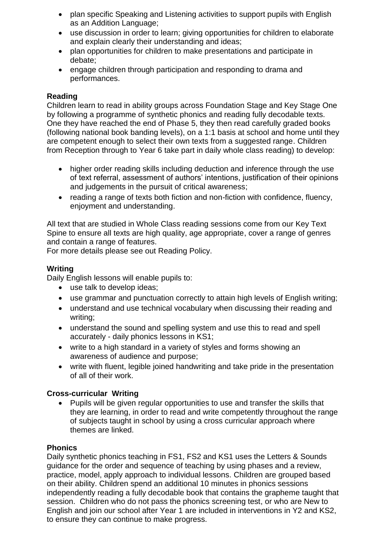- plan specific Speaking and Listening activities to support pupils with English as an Addition Language;
- use discussion in order to learn; giving opportunities for children to elaborate and explain clearly their understanding and ideas;
- plan opportunities for children to make presentations and participate in debate;
- engage children through participation and responding to drama and performances.

#### **Reading**

Children learn to read in ability groups across Foundation Stage and Key Stage One by following a programme of synthetic phonics and reading fully decodable texts. One they have reached the end of Phase 5, they then read carefully graded books (following national book banding levels), on a 1:1 basis at school and home until they are competent enough to select their own texts from a suggested range. Children from Reception through to Year 6 take part in daily whole class reading) to develop:

- higher order reading skills including deduction and inference through the use of text referral, assessment of authors' intentions, justification of their opinions and judgements in the pursuit of critical awareness;
- reading a range of texts both fiction and non-fiction with confidence, fluency, enjoyment and understanding.

All text that are studied in Whole Class reading sessions come from our Key Text Spine to ensure all texts are high quality, age appropriate, cover a range of genres and contain a range of features.

For more details please see out Reading Policy.

#### **Writing**

Daily English lessons will enable pupils to:

- use talk to develop ideas;
- use grammar and punctuation correctly to attain high levels of English writing;
- understand and use technical vocabulary when discussing their reading and writing;
- understand the sound and spelling system and use this to read and spell accurately - daily phonics lessons in KS1;
- write to a high standard in a variety of styles and forms showing an awareness of audience and purpose;
- write with fluent, legible joined handwriting and take pride in the presentation of all of their work.

#### **Cross-curricular Writing**

 Pupils will be given regular opportunities to use and transfer the skills that they are learning, in order to read and write competently throughout the range of subjects taught in school by using a cross curricular approach where themes are linked.

#### **Phonics**

Daily synthetic phonics teaching in FS1, FS2 and KS1 uses the Letters & Sounds guidance for the order and sequence of teaching by using phases and a review, practice, model, apply approach to individual lessons. Children are grouped based on their ability. Children spend an additional 10 minutes in phonics sessions independently reading a fully decodable book that contains the grapheme taught that session. Children who do not pass the phonics screening test, or who are New to English and join our school after Year 1 are included in interventions in Y2 and KS2, to ensure they can continue to make progress.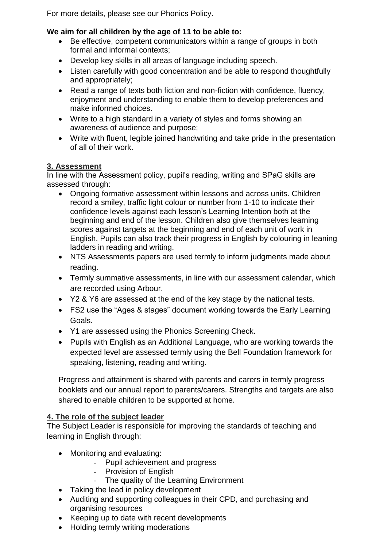For more details, please see our Phonics Policy.

### **We aim for all children by the age of 11 to be able to:**

- Be effective, competent communicators within a range of groups in both formal and informal contexts;
- Develop key skills in all areas of language including speech.
- Listen carefully with good concentration and be able to respond thoughtfully and appropriately;
- Read a range of texts both fiction and non-fiction with confidence, fluency, enjoyment and understanding to enable them to develop preferences and make informed choices.
- Write to a high standard in a variety of styles and forms showing an awareness of audience and purpose;
- Write with fluent, legible joined handwriting and take pride in the presentation of all of their work.

#### **3. Assessment**

In line with the Assessment policy, pupil's reading, writing and SPaG skills are assessed through:

- Ongoing formative assessment within lessons and across units. Children record a smiley, traffic light colour or number from 1-10 to indicate their confidence levels against each lesson's Learning Intention both at the beginning and end of the lesson. Children also give themselves learning scores against targets at the beginning and end of each unit of work in English. Pupils can also track their progress in English by colouring in leaning ladders in reading and writing.
- NTS Assessments papers are used termly to inform judgments made about reading.
- Termly summative assessments, in line with our assessment calendar, which are recorded using Arbour.
- Y2 & Y6 are assessed at the end of the key stage by the national tests.
- FS2 use the "Ages & stages" document working towards the Early Learning Goals.
- Y1 are assessed using the Phonics Screening Check.
- Pupils with English as an Additional Language, who are working towards the expected level are assessed termly using the Bell Foundation framework for speaking, listening, reading and writing.

Progress and attainment is shared with parents and carers in termly progress booklets and our annual report to parents/carers. Strengths and targets are also shared to enable children to be supported at home.

# **4. The role of the subject leader**

The Subject Leader is responsible for improving the standards of teaching and learning in English through:

- Monitoring and evaluating:
	- Pupil achievement and progress
	- Provision of English
	- The quality of the Learning Environment
- Taking the lead in policy development
- Auditing and supporting colleagues in their CPD, and purchasing and organising resources
- Keeping up to date with recent developments
- Holding termly writing moderations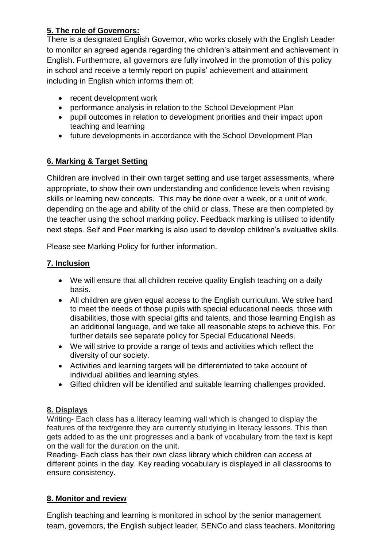# **5. The role of Governors:**

There is a designated English Governor, who works closely with the English Leader to monitor an agreed agenda regarding the children's attainment and achievement in English. Furthermore, all governors are fully involved in the promotion of this policy in school and receive a termly report on pupils' achievement and attainment including in English which informs them of:

- recent development work
- performance analysis in relation to the School Development Plan
- pupil outcomes in relation to development priorities and their impact upon teaching and learning
- future developments in accordance with the School Development Plan

# **6. Marking & Target Setting**

Children are involved in their own target setting and use target assessments, where appropriate, to show their own understanding and confidence levels when revising skills or learning new concepts. This may be done over a week, or a unit of work, depending on the age and ability of the child or class. These are then completed by the teacher using the school marking policy. Feedback marking is utilised to identify next steps. Self and Peer marking is also used to develop children's evaluative skills.

Please see Marking Policy for further information.

# **7. Inclusion**

- We will ensure that all children receive quality English teaching on a daily basis.
- All children are given equal access to the English curriculum. We strive hard to meet the needs of those pupils with special educational needs, those with disabilities, those with special gifts and talents, and those learning English as an additional language, and we take all reasonable steps to achieve this. For further details see separate policy for Special Educational Needs.
- We will strive to provide a range of texts and activities which reflect the diversity of our society.
- Activities and learning targets will be differentiated to take account of individual abilities and learning styles.
- Gifted children will be identified and suitable learning challenges provided.

# **8. Displays**

Writing- Each class has a literacy learning wall which is changed to display the features of the text/genre they are currently studying in literacy lessons. This then gets added to as the unit progresses and a bank of vocabulary from the text is kept on the wall for the duration on the unit.

Reading- Each class has their own class library which children can access at different points in the day. Key reading vocabulary is displayed in all classrooms to ensure consistency.

# **8. Monitor and review**

English teaching and learning is monitored in school by the senior management team, governors, the English subject leader, SENCo and class teachers. Monitoring